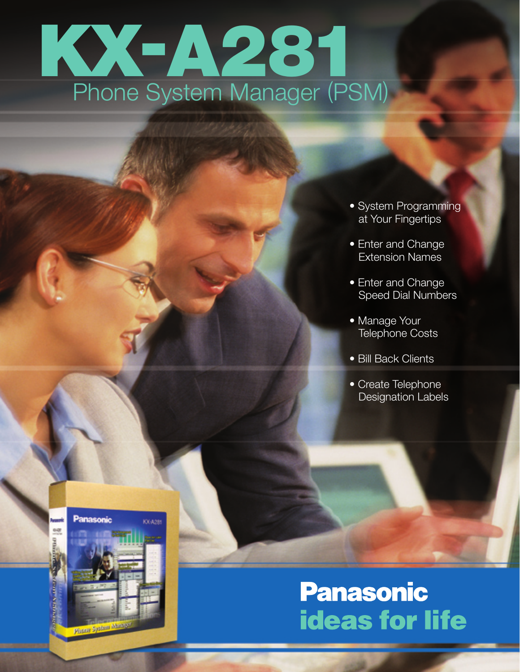# KX Phone System Manager -A281 Phone System Manager (PSM)

- System Programming at Your Fingertips
- Enter and Change Extension Names
- Enter and Change Speed Dial Numbers
- Manage Your Telephone Costs
- Bill Back Clients
- Create Telephone Designation Labels



### **Panasonic ideas for life**